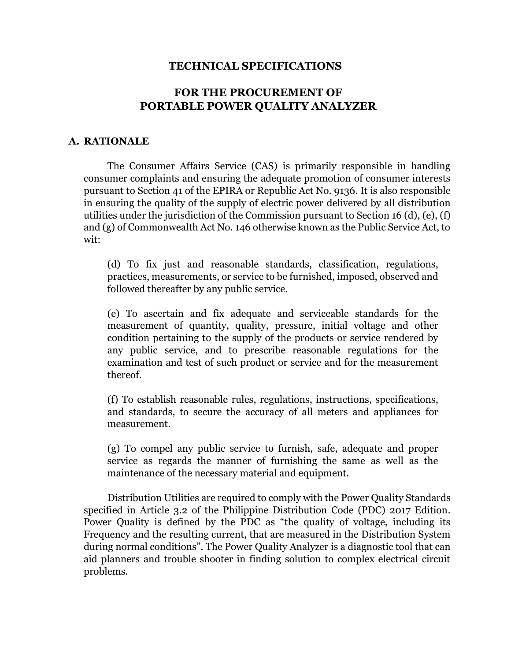### **TECHNICAL SPECIFICATIONS**

# **FOR THE PROCUREMENT OF PORTABLE POWER QUALITY ANALYZER**

#### **A. RATIONALE**

The Consumer Affairs Service (CAS) is primarily responsible in handling consumer complaints and ensuring the adequate promotion of consumer interests pursuant to Section 41 of the EPIRA or Republic Act No. 9136. It is also responsible in ensuring the quality of the supply of electric power delivered by all distribution utilities under the jurisdiction of the Commission pursuant to Section 16 (d), (e), (f) and (g) of Commonwealth Act No. 146 otherwise known as the Public Service Act, to wit:

(d) To fix just and reasonable standards, classification, regulations, practices, measurements, or service to be furnished, imposed, observed and followed thereafter by any public service.

(e) To ascertain and fix adequate and serviceable standards for the measurement of quantity, quality, pressure, initial voltage and other condition pertaining to the supply of the products or service rendered by any public service, and to prescribe reasonable regulations for the examination and test of such product or service and for the measurement thereof.

(f) To establish reasonable rules, regulations, instructions, specifications, and standards, to secure the accuracy of all meters and appliances for measurement.

(g) To compel any public service to furnish, safe, adequate and proper service as regards the manner of furnishing the same as well as the maintenance of the necessary material and equipment.

Distribution Utilities are required to comply with the Power Quality Standards specified in Article 3.2 of the Philippine Distribution Code (PDC) 2017 Edition. Power Quality is defined by the PDC as "the quality of voltage, including its Frequency and the resulting current, that are measured in the Distribution System during normal conditions". The Power Quality Analyzer is a diagnostic tool that can aid planners and trouble shooter in finding solution to complex electrical circuit problems.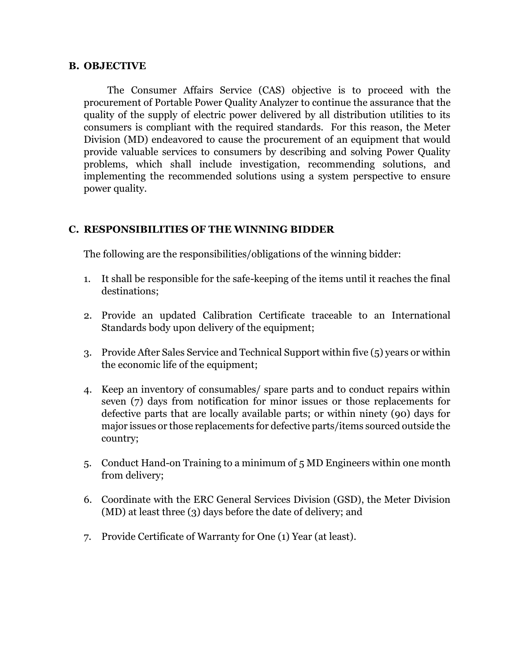#### **B. OBJECTIVE**

The Consumer Affairs Service (CAS) objective is to proceed with the procurement of Portable Power Quality Analyzer to continue the assurance that the quality of the supply of electric power delivered by all distribution utilities to its consumers is compliant with the required standards. For this reason, the Meter Division (MD) endeavored to cause the procurement of an equipment that would provide valuable services to consumers by describing and solving Power Quality problems, which shall include investigation, recommending solutions, and implementing the recommended solutions using a system perspective to ensure power quality.

### **C. RESPONSIBILITIES OF THE WINNING BIDDER**

The following are the responsibilities/obligations of the winning bidder:

- 1. It shall be responsible for the safe-keeping of the items until it reaches the final destinations;
- 2. Provide an updated Calibration Certificate traceable to an International Standards body upon delivery of the equipment;
- 3. Provide After Sales Service and Technical Support within five (5) years or within the economic life of the equipment;
- 4. Keep an inventory of consumables/ spare parts and to conduct repairs within seven (7) days from notification for minor issues or those replacements for defective parts that are locally available parts; or within ninety (90) days for major issues or those replacements for defective parts/items sourced outside the country;
- 5. Conduct Hand-on Training to a minimum of 5 MD Engineers within one month from delivery;
- 6. Coordinate with the ERC General Services Division (GSD), the Meter Division (MD) at least three (3) days before the date of delivery; and
- 7. Provide Certificate of Warranty for One (1) Year (at least).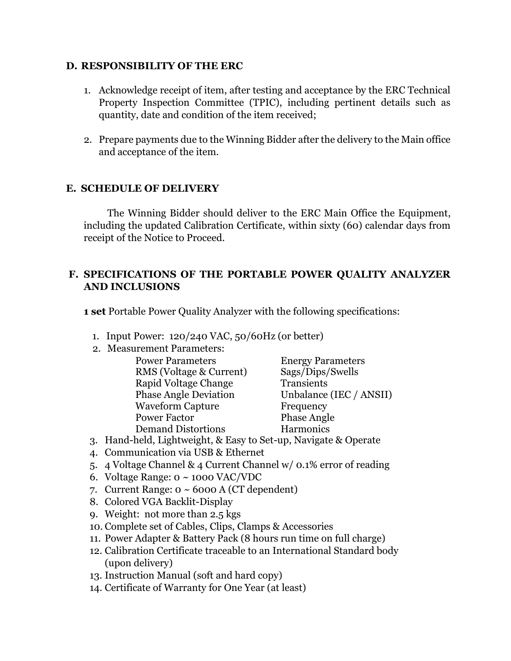### **D. RESPONSIBILITY OF THE ERC**

- 1. Acknowledge receipt of item, after testing and acceptance by the ERC Technical Property Inspection Committee (TPIC), including pertinent details such as quantity, date and condition of the item received;
- 2. Prepare payments due to the Winning Bidder after the delivery to the Main office and acceptance of the item.

## **E. SCHEDULE OF DELIVERY**

The Winning Bidder should deliver to the ERC Main Office the Equipment, including the updated Calibration Certificate, within sixty (60) calendar days from receipt of the Notice to Proceed.

## **F. SPECIFICATIONS OF THE PORTABLE POWER QUALITY ANALYZER AND INCLUSIONS**

**1 set** Portable Power Quality Analyzer with the following specifications:

- 1. Input Power: 120/240 VAC, 50/60Hz (or better)
- 2. Measurement Parameters:

| <b>Power Parameters</b>      | <b>Energy Parameters</b> |
|------------------------------|--------------------------|
| RMS (Voltage & Current)      | Sags/Dips/Swells         |
| Rapid Voltage Change         | Transients               |
| <b>Phase Angle Deviation</b> | Unbalance (IEC / ANSII)  |
| <b>Waveform Capture</b>      | Frequency                |
| <b>Power Factor</b>          | <b>Phase Angle</b>       |
| <b>Demand Distortions</b>    | Harmonics                |

- 3. Hand-held, Lightweight, & Easy to Set-up, Navigate & Operate
- 4. Communication via USB & Ethernet
- 5. 4 Voltage Channel & 4 Current Channel w/ 0.1% error of reading
- 6. Voltage Range:  $o \sim 1000$  VAC/VDC
- 7. Current Range:  $0 \sim 6000$  A (CT dependent)
- 8. Colored VGA Backlit-Display
- 9. Weight: not more than 2.5 kgs
- 10. Complete set of Cables, Clips, Clamps & Accessories
- 11. Power Adapter & Battery Pack (8 hours run time on full charge)
- 12. Calibration Certificate traceable to an International Standard body (upon delivery)
- 13. Instruction Manual (soft and hard copy)
- 14. Certificate of Warranty for One Year (at least)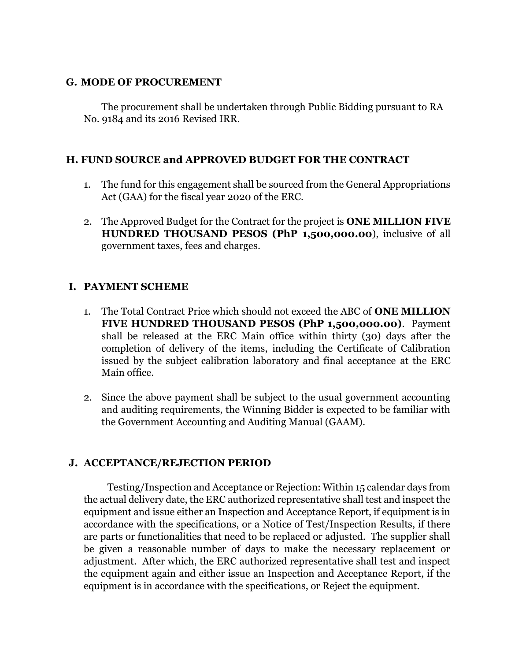### **G. MODE OF PROCUREMENT**

The procurement shall be undertaken through Public Bidding pursuant to RA No. 9184 and its 2016 Revised IRR.

# **H. FUND SOURCE and APPROVED BUDGET FOR THE CONTRACT**

- 1. The fund for this engagement shall be sourced from the General Appropriations Act (GAA) for the fiscal year 2020 of the ERC.
- 2. The Approved Budget for the Contract for the project is **ONE MILLION FIVE HUNDRED THOUSAND PESOS (PhP 1,500,000.00**), inclusive of all government taxes, fees and charges.

# **I. PAYMENT SCHEME**

- 1. The Total Contract Price which should not exceed the ABC of **ONE MILLION FIVE HUNDRED THOUSAND PESOS (PhP 1,500,000.00)**. Payment shall be released at the ERC Main office within thirty (30) days after the completion of delivery of the items, including the Certificate of Calibration issued by the subject calibration laboratory and final acceptance at the ERC Main office.
- 2. Since the above payment shall be subject to the usual government accounting and auditing requirements, the Winning Bidder is expected to be familiar with the Government Accounting and Auditing Manual (GAAM).

## **J. ACCEPTANCE/REJECTION PERIOD**

Testing/Inspection and Acceptance or Rejection: Within 15 calendar days from the actual delivery date, the ERC authorized representative shall test and inspect the equipment and issue either an Inspection and Acceptance Report, if equipment is in accordance with the specifications, or a Notice of Test/Inspection Results, if there are parts or functionalities that need to be replaced or adjusted. The supplier shall be given a reasonable number of days to make the necessary replacement or adjustment. After which, the ERC authorized representative shall test and inspect the equipment again and either issue an Inspection and Acceptance Report, if the equipment is in accordance with the specifications, or Reject the equipment.